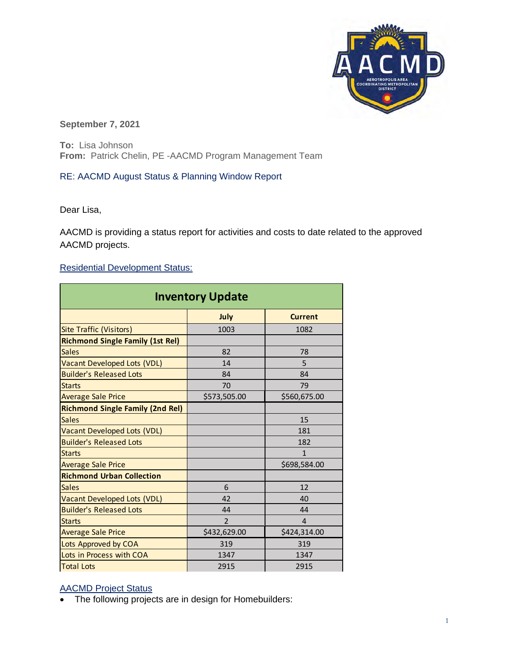

**September 7, 2021** 

**To:** Lisa Johnson **From:** Patrick Chelin, PE -AACMD Program Management Team

## RE: AACMD August Status & Planning Window Report

Dear Lisa,

AACMD is providing a status report for activities and costs to date related to the approved AACMD projects.

## Residential Development Status:

| <b>Inventory Update</b>                 |                |                |
|-----------------------------------------|----------------|----------------|
|                                         | July           | <b>Current</b> |
| <b>Site Traffic (Visitors)</b>          | 1003           | 1082           |
| <b>Richmond Single Family (1st Rel)</b> |                |                |
| <b>Sales</b>                            | 82             | 78             |
| Vacant Developed Lots (VDL)             | 14             | 5              |
| <b>Builder's Released Lots</b>          | 84             | 84             |
| <b>Starts</b>                           | 70             | 79             |
| <b>Average Sale Price</b>               | \$573,505.00   | \$560,675.00   |
| <b>Richmond Single Family (2nd Rel)</b> |                |                |
| <b>Sales</b>                            |                | 15             |
| Vacant Developed Lots (VDL)             |                | 181            |
| <b>Builder's Released Lots</b>          |                | 182            |
| <b>Starts</b>                           |                | 1              |
| <b>Average Sale Price</b>               |                | \$698,584.00   |
| <b>Richmond Urban Collection</b>        |                |                |
| <b>Sales</b>                            | 6              | 12             |
| <b>Vacant Developed Lots (VDL)</b>      | 42             | 40             |
| <b>Builder's Released Lots</b>          | 44             | 44             |
| <b>Starts</b>                           | $\overline{2}$ | 4              |
| <b>Average Sale Price</b>               | \$432,629.00   | \$424,314.00   |
| Lots Approved by COA                    | 319            | 319            |
| Lots in Process with COA                | 1347           | 1347           |
| <b>Total Lots</b>                       | 2915           | 2915           |

## AACMD Project Status

• The following projects are in design for Homebuilders: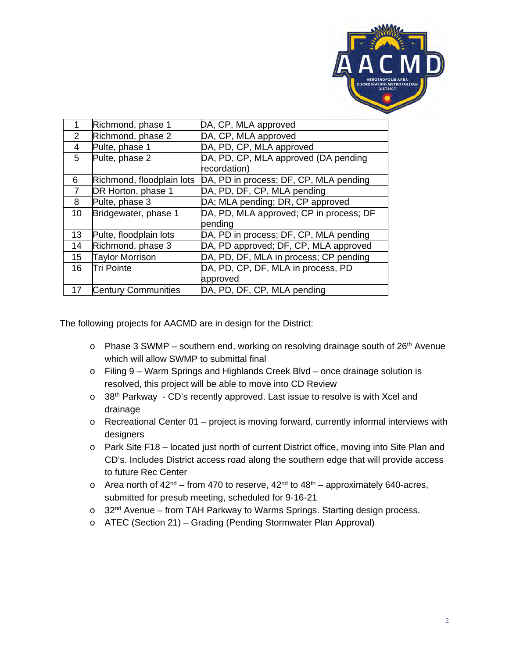

| 1              | Richmond, phase 1          | DA, CP, MLA approved                    |
|----------------|----------------------------|-----------------------------------------|
| 2              | Richmond, phase 2          | DA, CP, MLA approved                    |
| 4              | Pulte, phase 1             | DA, PD, CP, MLA approved                |
| 5              | Pulte, phase 2             | DA, PD, CP, MLA approved (DA pending    |
|                |                            | recordation)                            |
| 6              | Richmond, floodplain lots  | DA, PD in process; DF, CP, MLA pending  |
| $\overline{7}$ | DR Horton, phase 1         | DA, PD, DF, CP, MLA pending             |
| 8              | Pulte, phase 3             | DA; MLA pending; DR, CP approved        |
| 10             | Bridgewater, phase 1       | DA, PD, MLA approved; CP in process; DF |
|                |                            | pending                                 |
| 13             | Pulte, floodplain lots     | DA, PD in process; DF, CP, MLA pending  |
| 14             | Richmond, phase 3          | DA, PD approved; DF, CP, MLA approved   |
| 15             | <b>Taylor Morrison</b>     | DA, PD, DF, MLA in process; CP pending  |
| 16             | Tri Pointe                 | DA, PD, CP, DF, MLA in process, PD      |
|                |                            | approved                                |
| 17             | <b>Century Communities</b> | DA, PD, DF, CP, MLA pending             |
|                |                            |                                         |

The following projects for AACMD are in design for the District:

- $\circ$  Phase 3 SWMP southern end, working on resolving drainage south of 26<sup>th</sup> Avenue which will allow SWMP to submittal final
- o Filing 9 Warm Springs and Highlands Creek Blvd once drainage solution is resolved, this project will be able to move into CD Review
- o 38<sup>th</sup> Parkway CD's recently approved. Last issue to resolve is with Xcel and drainage
- o Recreational Center 01 project is moving forward, currently informal interviews with designers
- o Park Site F18 located just north of current District office, moving into Site Plan and CD's. Includes District access road along the southern edge that will provide access to future Rec Center
- $\circ$  Area north of 42<sup>nd</sup> from 470 to reserve, 42<sup>nd</sup> to 48<sup>th</sup> approximately 640-acres, submitted for presub meeting, scheduled for 9-16-21
- $\circ$  32<sup>nd</sup> Avenue from TAH Parkway to Warms Springs. Starting design process.
- o ATEC (Section 21) Grading (Pending Stormwater Plan Approval)